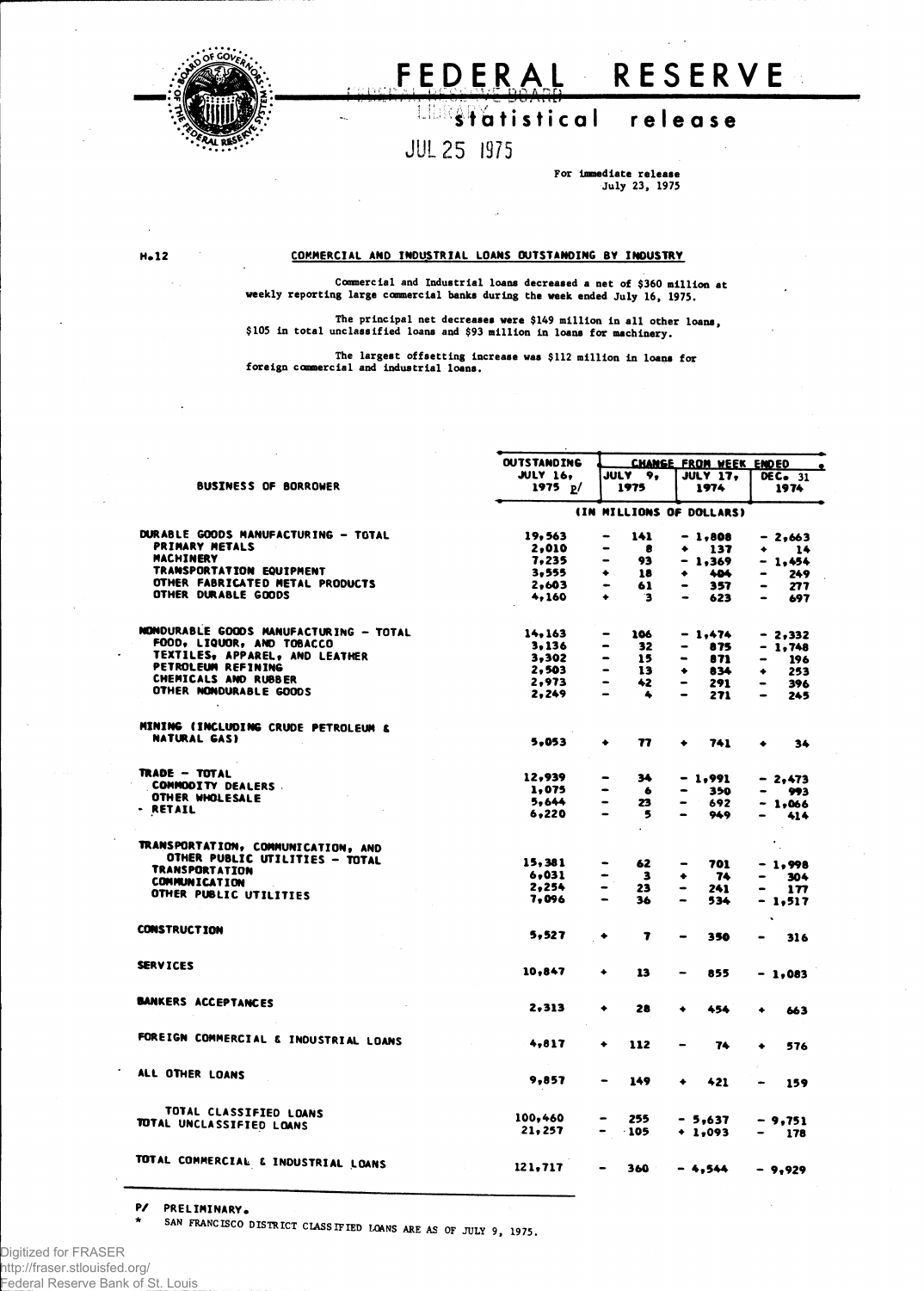

## **FEDERA L RESERV E**

## **s t atistica l releas e**

## **J UL <sup>2</sup> <sup>5</sup> <sup>1975</sup>**

**For Immediate release July 23, 1975**

**H.12 COMMERCIAL A ND INDUSTRIAL LOANS OUTSTANDING BY INDUSTRY**

**Commercial and Industrial loans decreased a net of \$360 million at weekly reporting large commercial banks during the week ended July 16, 1975.**

The principal net decreases were \$149 million in all other loans,<br>\$105 in total unclassified loans and \$93 million in loans for machinery.

**The largest offsetting increase was \$112 million in loans for foreign commercial and industrial loans.**

|                                                         | <b>OUTSTANDING</b>       | CHANGE FROM WEEK ENDED                       |                                     |                             |  |  |  |
|---------------------------------------------------------|--------------------------|----------------------------------------------|-------------------------------------|-----------------------------|--|--|--|
|                                                         | <b>JULY 16,</b>          | JULY 9,                                      | <b>JULY 17,</b>                     | ٠<br>DEC. 31                |  |  |  |
| <b>BUSINESS OF BORROWER</b>                             | 1975 p/                  | 1975                                         | 1974                                | 1974                        |  |  |  |
|                                                         | (IN MILLIONS OF DOLLARS) |                                              |                                     |                             |  |  |  |
| DURABLE GOODS MANUFACTURING - TOTAL                     | 19,563                   | 141<br>-                                     | $-1,808$                            | $-2,663$                    |  |  |  |
| <b>PRIMARY METALS</b>                                   | 2,010                    | 8<br>$\bullet$                               | - 137<br>۰                          | 14<br>$\bullet$             |  |  |  |
| <b>MACHINERY</b>                                        | 7,235                    | -<br>93                                      | $-1,369$                            | $-1,454$                    |  |  |  |
| TRANSPORTATION EQUIPMENT                                | 3,555                    | ٠<br>18                                      | 404<br>۰                            | 249                         |  |  |  |
| OTHER FABRICATED METAL PRODUCTS                         | 2,603                    | $\bullet$<br>61                              | 357<br>$\bullet$                    | 277                         |  |  |  |
| OTHER DURABLE GOODS                                     | 4,160                    | ٠<br>$\mathbf{3}$                            | 623<br>$\overline{\phantom{0}}$     | 697<br>$\blacksquare$       |  |  |  |
| NONDURABLE GOODS MANUFACTURING - TOTAL                  | 14,163                   | 106                                          | $-1,474$                            | $-2.332$                    |  |  |  |
| FOOD, LIQUOR, AND TOBACCO                               | 3,136                    | 32<br>-                                      | 875<br>$\qquad \qquad \blacksquare$ | - 1.748                     |  |  |  |
| TEXTILES, APPAREL, AND LEATHER                          | 3,302                    | -<br>15                                      | $\blacksquare$<br>871               | 196                         |  |  |  |
| PETROLEUM REFINING                                      | 2,503                    | -<br>13                                      | ۰<br>834                            | 253<br>۰                    |  |  |  |
| <b>CHEMICALS AND RUBBER</b>                             | 2,973                    | $\overline{\phantom{0}}$<br>42               | 291<br>$\qquad \qquad \blacksquare$ | 396<br>$\bullet$            |  |  |  |
| OTHER NONDURABLE GOODS                                  | 2,249                    | $\qquad \qquad \blacksquare$<br>$\spadesuit$ | $\blacksquare$<br>271               | 245<br>$\bullet$            |  |  |  |
| MINING (INCLUDING CRUDE PETROLEUM &                     |                          |                                              |                                     |                             |  |  |  |
| NATURAL GAS)                                            | 5.053                    | 77<br>٠                                      | 741<br>٠                            | ٠<br>34                     |  |  |  |
| <b>TRADE - TOTAL</b>                                    |                          |                                              |                                     |                             |  |  |  |
| <b>COMMODITY DEALERS.</b>                               | 12.939                   | 34<br>$\bullet$                              | $-1,991$                            | $-2.473$                    |  |  |  |
| OTHER WHOLESALE                                         | 1,075                    | -<br>$\bullet$                               | 350<br>$\bullet$                    | 993                         |  |  |  |
| - RETAIL                                                | 5.644<br>6,220           | $\blacksquare$<br>23<br>5                    | 692<br>-<br>949<br>-                | $-1,066$<br>414             |  |  |  |
|                                                         |                          |                                              |                                     |                             |  |  |  |
| TRANSPORTATION, COMMUNICATION, AND                      |                          |                                              |                                     | $\bullet$<br>$\sim$         |  |  |  |
| OTHER PUBLIC UTILITIES - TOTAL<br><b>TRANSPORTATION</b> | 15,381                   | 62<br>$\bullet$                              | 701<br>$\bullet$                    | $-1.998$                    |  |  |  |
| <b>COMMUNICATION</b>                                    | 6.031                    | $\overline{\mathbf{3}}$<br>-                 | -74<br>٠                            | 304                         |  |  |  |
| OTHER PUBLIC UTILITIES                                  | 2.254                    | $\blacksquare$<br>23                         | 241<br>$\bullet$                    | 177                         |  |  |  |
|                                                         | 7.096                    | 36                                           | 534<br>$\blacksquare$               | - 1,517                     |  |  |  |
| <b>CONSTRUCTION</b>                                     | 5,527                    | 7<br>۰                                       | 350<br>-                            | $\ddot{\phantom{a}}$<br>316 |  |  |  |
| <b>SERVICES</b>                                         |                          |                                              |                                     |                             |  |  |  |
|                                                         | 10,847                   | ۰<br>13                                      | 855                                 | $-1.083$                    |  |  |  |
| <b>BANKERS ACCEPTANCES</b>                              | 2.313                    | 28<br>٠                                      | 454<br>٠                            | ٠<br>663                    |  |  |  |
|                                                         |                          |                                              |                                     |                             |  |  |  |
| FOREIGN COMMERCIAL & INDUSTRIAL LOANS                   | 4,817                    | ٠<br>112                                     | 74<br>$\equiv$                      | 576<br>٠                    |  |  |  |
| ALL OTHER LOANS                                         | 9,857                    | 149                                          | 421<br>۰                            |                             |  |  |  |
|                                                         |                          |                                              |                                     | 159                         |  |  |  |
| TOTAL CLASSIFIED LOANS                                  | 100,460                  |                                              |                                     |                             |  |  |  |
| TOTAL UNCLASSIFIED LOANS                                | 21.257                   | 255<br>$-105$                                | - 5.637                             | $-9.751$                    |  |  |  |
|                                                         |                          |                                              | $+ 1.093$                           | 178                         |  |  |  |
| TOTAL COMMERCIAL & INDUSTRIAL LOANS                     | 121.717                  | 360                                          | $-4,544$                            | $-9,929$                    |  |  |  |
|                                                         |                          |                                              |                                     |                             |  |  |  |

**P/ PRELIMINARY.**

**S A <sup>N</sup> FRANCISC <sup>0</sup> DISTRICT CLASSIFIED LOANS ARE AS OF JULY 9, 1975**